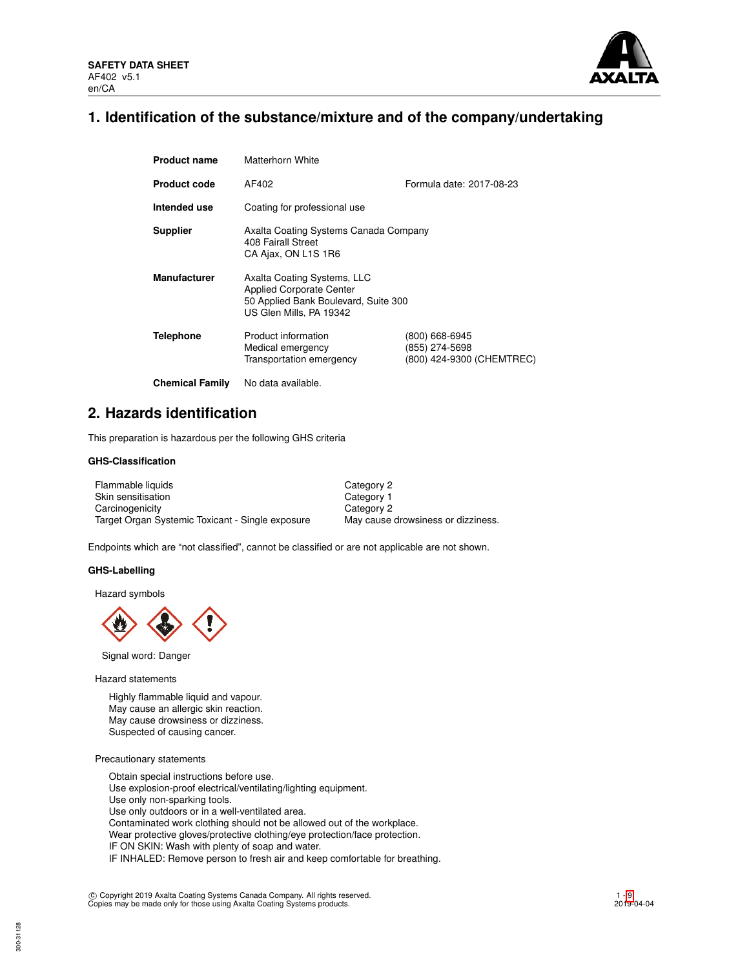

## **1. Identification of the substance/mixture and of the company/undertaking**

| <b>Product name</b>    | Matterhorn White                                                                                                                  |                                                               |
|------------------------|-----------------------------------------------------------------------------------------------------------------------------------|---------------------------------------------------------------|
| <b>Product code</b>    | AF402                                                                                                                             | Formula date: 2017-08-23                                      |
| Intended use           | Coating for professional use                                                                                                      |                                                               |
| <b>Supplier</b>        | Axalta Coating Systems Canada Company<br>408 Fairall Street<br>CA Ajax, ON L1S 1R6                                                |                                                               |
| <b>Manufacturer</b>    | Axalta Coating Systems, LLC<br><b>Applied Corporate Center</b><br>50 Applied Bank Boulevard, Suite 300<br>US Glen Mills, PA 19342 |                                                               |
| <b>Telephone</b>       | Product information<br>Medical emergency<br>Transportation emergency                                                              | (800) 668-6945<br>(855) 274-5698<br>(800) 424-9300 (CHEMTREC) |
| <b>Chemical Family</b> | No data available.                                                                                                                |                                                               |

## **2. Hazards identification**

This preparation is hazardous per the following GHS criteria

## **GHS-Classification**

| Flammable liquids                                | Category 2                         |
|--------------------------------------------------|------------------------------------|
| Skin sensitisation                               | Category 1                         |
| Carcinogenicity                                  | Category 2                         |
| Target Organ Systemic Toxicant - Single exposure | May cause drowsiness or dizziness. |

Endpoints which are "not classified", cannot be classified or are not applicable are not shown.

### **GHS-Labelling**

Hazard symbols



Signal word: Danger

Hazard statements

Highly flammable liquid and vapour. May cause an allergic skin reaction. May cause drowsiness or dizziness. Suspected of causing cancer.

### Precautionary statements

Obtain special instructions before use. Use explosion-proof electrical/ventilating/lighting equipment. Use only non-sparking tools. Use only outdoors or in a well-ventilated area. Contaminated work clothing should not be allowed out of the workplace. Wear protective gloves/protective clothing/eye protection/face protection. IF ON SKIN: Wash with plenty of soap and water. IF INHALED: Remove person to fresh air and keep comfortable for breathing.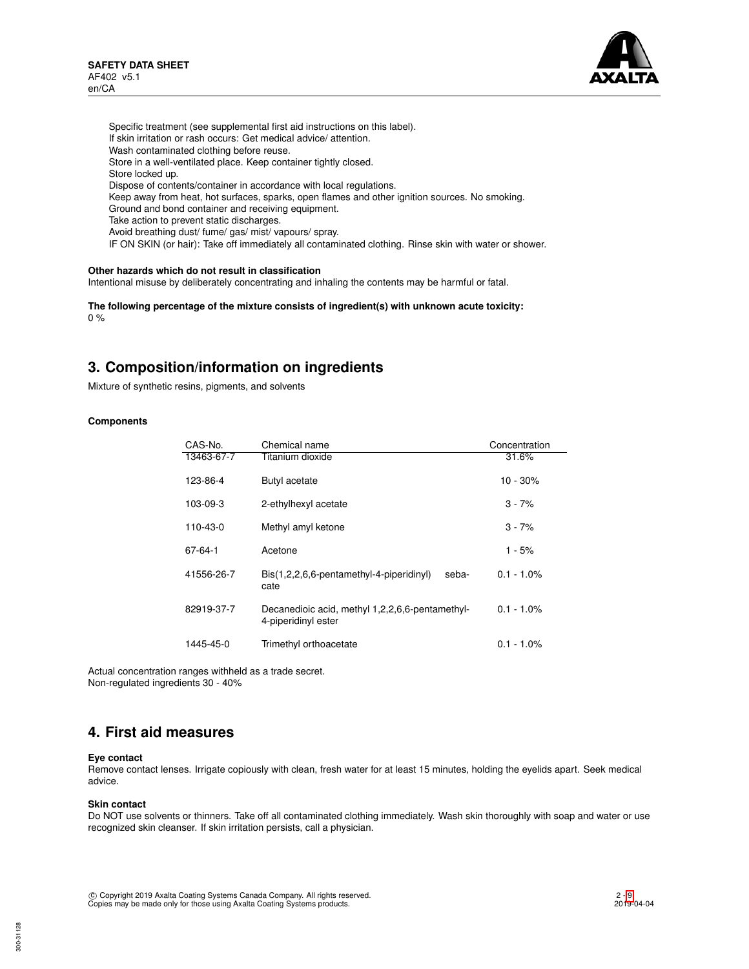

Specific treatment (see supplemental first aid instructions on this label). If skin irritation or rash occurs: Get medical advice/ attention. Wash contaminated clothing before reuse. Store in a well-ventilated place. Keep container tightly closed. Store locked up. Dispose of contents/container in accordance with local regulations. Keep away from heat, hot surfaces, sparks, open flames and other ignition sources. No smoking. Ground and bond container and receiving equipment. Take action to prevent static discharges. Avoid breathing dust/ fume/ gas/ mist/ vapours/ spray. IF ON SKIN (or hair): Take off immediately all contaminated clothing. Rinse skin with water or shower.

## **Other hazards which do not result in classification**

Intentional misuse by deliberately concentrating and inhaling the contents may be harmful or fatal.

**The following percentage of the mixture consists of ingredient(s) with unknown acute toxicity:** 0 %

## **3. Composition/information on ingredients**

Mixture of synthetic resins, pigments, and solvents

### **Components**

| CAS-No.    | Chemical name                                                          | Concentration |
|------------|------------------------------------------------------------------------|---------------|
| 13463-67-7 | Titanium dioxide                                                       | 31.6%         |
| 123-86-4   | Butyl acetate                                                          | 10 - 30%      |
| 103-09-3   | 2-ethylhexyl acetate                                                   | $3 - 7%$      |
| 110-43-0   | Methyl amyl ketone                                                     | $3 - 7%$      |
| 67-64-1    | Acetone                                                                | $1 - 5%$      |
| 41556-26-7 | Bis(1,2,2,6,6-pentamethyl-4-piperidinyl)<br>seba-<br>cate              | $0.1 - 1.0\%$ |
| 82919-37-7 | Decanedioic acid, methyl 1,2,2,6,6-pentamethyl-<br>4-piperidinyl ester | $0.1 - 1.0\%$ |
| 1445-45-0  | Trimethyl orthoacetate                                                 | $0.1 - 1.0\%$ |

Actual concentration ranges withheld as a trade secret. Non-regulated ingredients 30 - 40%

## **4. First aid measures**

### **Eye contact**

Remove contact lenses. Irrigate copiously with clean, fresh water for at least 15 minutes, holding the eyelids apart. Seek medical advice.

### **Skin contact**

Do NOT use solvents or thinners. Take off all contaminated clothing immediately. Wash skin thoroughly with soap and water or use recognized skin cleanser. If skin irritation persists, call a physician.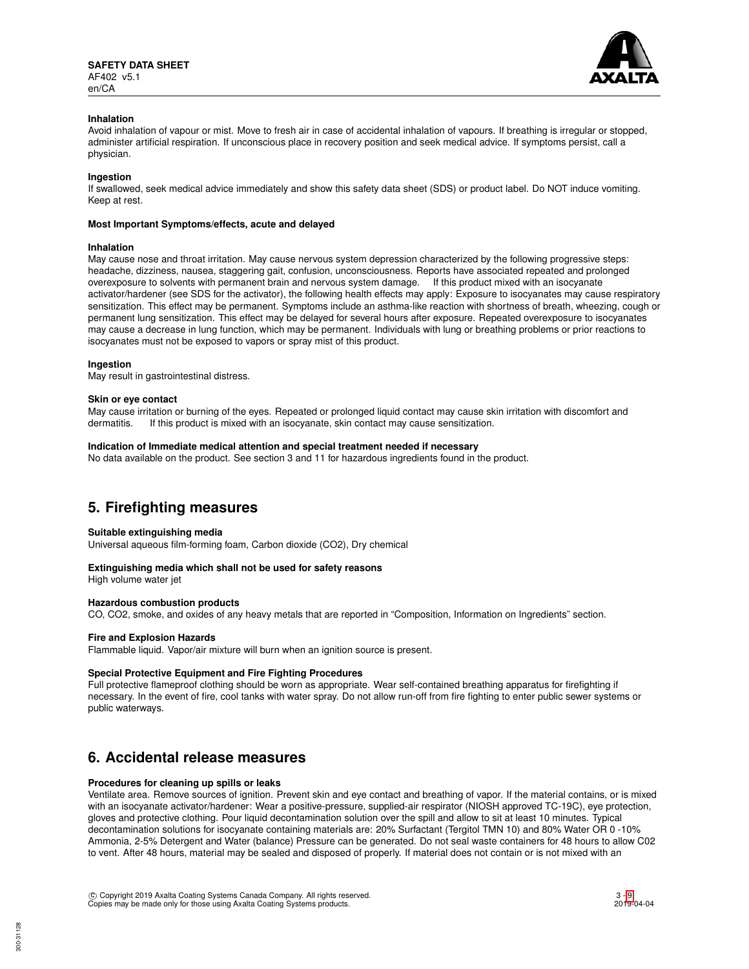

### **Inhalation**

Avoid inhalation of vapour or mist. Move to fresh air in case of accidental inhalation of vapours. If breathing is irregular or stopped, administer artificial respiration. If unconscious place in recovery position and seek medical advice. If symptoms persist, call a physician.

### **Ingestion**

If swallowed, seek medical advice immediately and show this safety data sheet (SDS) or product label. Do NOT induce vomiting. Keep at rest.

### **Most Important Symptoms/effects, acute and delayed**

### **Inhalation**

May cause nose and throat irritation. May cause nervous system depression characterized by the following progressive steps: headache, dizziness, nausea, staggering gait, confusion, unconsciousness. Reports have associated repeated and prolonged overexposure to solvents with permanent brain and nervous system damage. If this product mixed with an isocyanate activator/hardener (see SDS for the activator), the following health effects may apply: Exposure to isocyanates may cause respiratory sensitization. This effect may be permanent. Symptoms include an asthma-like reaction with shortness of breath, wheezing, cough or permanent lung sensitization. This effect may be delayed for several hours after exposure. Repeated overexposure to isocyanates may cause a decrease in lung function, which may be permanent. Individuals with lung or breathing problems or prior reactions to isocyanates must not be exposed to vapors or spray mist of this product.

### **Ingestion**

May result in gastrointestinal distress.

#### **Skin or eye contact**

May cause irritation or burning of the eyes. Repeated or prolonged liquid contact may cause skin irritation with discomfort and dermatitis. If this product is mixed with an isocyanate, skin contact may cause sensitization.

### **Indication of Immediate medical attention and special treatment needed if necessary**

No data available on the product. See section 3 and 11 for hazardous ingredients found in the product.

## **5. Firefighting measures**

### **Suitable extinguishing media**

Universal aqueous film-forming foam, Carbon dioxide (CO2), Dry chemical

### **Extinguishing media which shall not be used for safety reasons**

High volume water jet

## **Hazardous combustion products**

CO, CO2, smoke, and oxides of any heavy metals that are reported in "Composition, Information on Ingredients" section.

### **Fire and Explosion Hazards**

Flammable liquid. Vapor/air mixture will burn when an ignition source is present.

### **Special Protective Equipment and Fire Fighting Procedures**

Full protective flameproof clothing should be worn as appropriate. Wear self-contained breathing apparatus for firefighting if necessary. In the event of fire, cool tanks with water spray. Do not allow run-off from fire fighting to enter public sewer systems or public waterways.

## **6. Accidental release measures**

### **Procedures for cleaning up spills or leaks**

Ventilate area. Remove sources of ignition. Prevent skin and eye contact and breathing of vapor. If the material contains, or is mixed with an isocyanate activator/hardener: Wear a positive-pressure, supplied-air respirator (NIOSH approved TC-19C), eye protection, gloves and protective clothing. Pour liquid decontamination solution over the spill and allow to sit at least 10 minutes. Typical decontamination solutions for isocyanate containing materials are: 20% Surfactant (Tergitol TMN 10) and 80% Water OR 0 -10% Ammonia, 2-5% Detergent and Water (balance) Pressure can be generated. Do not seal waste containers for 48 hours to allow C02 to vent. After 48 hours, material may be sealed and disposed of properly. If material does not contain or is not mixed with an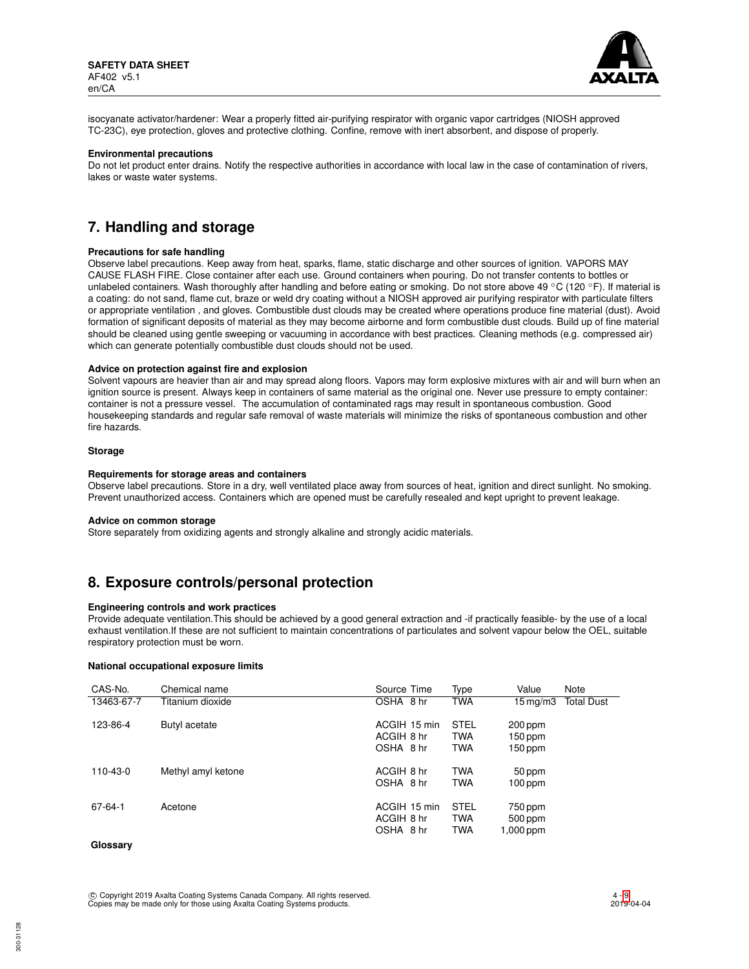

isocyanate activator/hardener: Wear a properly fitted air-purifying respirator with organic vapor cartridges (NIOSH approved TC-23C), eye protection, gloves and protective clothing. Confine, remove with inert absorbent, and dispose of properly.

### **Environmental precautions**

Do not let product enter drains. Notify the respective authorities in accordance with local law in the case of contamination of rivers, lakes or waste water systems.

## **7. Handling and storage**

#### **Precautions for safe handling**

Observe label precautions. Keep away from heat, sparks, flame, static discharge and other sources of ignition. VAPORS MAY CAUSE FLASH FIRE. Close container after each use. Ground containers when pouring. Do not transfer contents to bottles or unlabeled containers. Wash thoroughly after handling and before eating or smoking. Do not store above 49 °C (120 °F). If material is a coating: do not sand, flame cut, braze or weld dry coating without a NIOSH approved air purifying respirator with particulate filters or appropriate ventilation , and gloves. Combustible dust clouds may be created where operations produce fine material (dust). Avoid formation of significant deposits of material as they may become airborne and form combustible dust clouds. Build up of fine material should be cleaned using gentle sweeping or vacuuming in accordance with best practices. Cleaning methods (e.g. compressed air) which can generate potentially combustible dust clouds should not be used.

### **Advice on protection against fire and explosion**

Solvent vapours are heavier than air and may spread along floors. Vapors may form explosive mixtures with air and will burn when an ignition source is present. Always keep in containers of same material as the original one. Never use pressure to empty container: container is not a pressure vessel. The accumulation of contaminated rags may result in spontaneous combustion. Good housekeeping standards and regular safe removal of waste materials will minimize the risks of spontaneous combustion and other fire hazards.

### **Storage**

#### **Requirements for storage areas and containers**

Observe label precautions. Store in a dry, well ventilated place away from sources of heat, ignition and direct sunlight. No smoking. Prevent unauthorized access. Containers which are opened must be carefully resealed and kept upright to prevent leakage.

#### **Advice on common storage**

Store separately from oxidizing agents and strongly alkaline and strongly acidic materials.

## **8. Exposure controls/personal protection**

### **Engineering controls and work practices**

Provide adequate ventilation.This should be achieved by a good general extraction and -if practically feasible- by the use of a local exhaust ventilation.If these are not sufficient to maintain concentrations of particulates and solvent vapour below the OEL, suitable respiratory protection must be worn.

### **National occupational exposure limits**

| CAS-No.    | Chemical name      | Source Time                             | Type                                    | Value                             | Note              |
|------------|--------------------|-----------------------------------------|-----------------------------------------|-----------------------------------|-------------------|
| 13463-67-7 | Titanium dioxide   | OSHA 8 hr                               | <b>TWA</b>                              | 15 mg/m3                          | <b>Total Dust</b> |
| 123-86-4   | Butyl acetate      | ACGIH 15 min<br>ACGIH 8 hr<br>OSHA 8 hr | <b>STEL</b><br><b>TWA</b><br><b>TWA</b> | 200 ppm<br>$150$ ppm<br>150 ppm   |                   |
| 110-43-0   | Methyl amyl ketone | ACGIH 8 hr<br>OSHA 8 hr                 | <b>TWA</b><br><b>TWA</b>                | 50 ppm<br>$100$ ppm               |                   |
| 67-64-1    | Acetone            | ACGIH 15 min<br>ACGIH 8 hr<br>OSHA 8 hr | <b>STEL</b><br><b>TWA</b><br><b>TWA</b> | 750 ppm<br>500 ppm<br>$1,000$ ppm |                   |
| Glossarv   |                    |                                         |                                         |                                   |                   |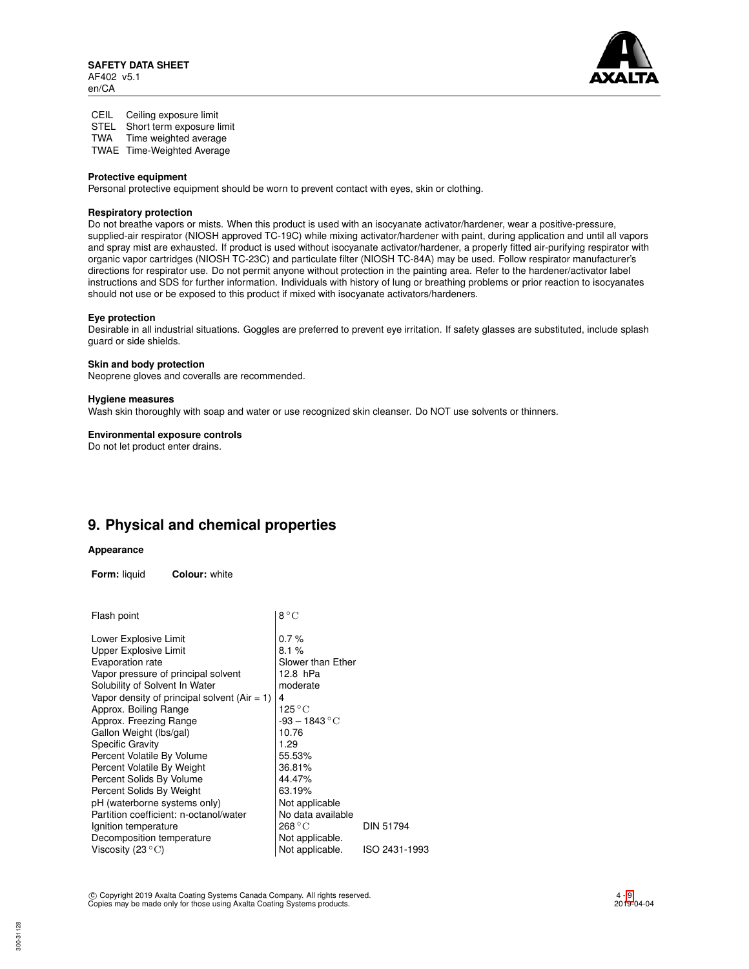

CEIL Ceiling exposure limit STEL Short term exposure limit TWA Time weighted average

TWAE Time-Weighted Average

### **Protective equipment**

Personal protective equipment should be worn to prevent contact with eyes, skin or clothing.

## **Respiratory protection**

Do not breathe vapors or mists. When this product is used with an isocyanate activator/hardener, wear a positive-pressure, supplied-air respirator (NIOSH approved TC-19C) while mixing activator/hardener with paint, during application and until all vapors and spray mist are exhausted. If product is used without isocyanate activator/hardener, a properly fitted air-purifying respirator with organic vapor cartridges (NIOSH TC-23C) and particulate filter (NIOSH TC-84A) may be used. Follow respirator manufacturer's directions for respirator use. Do not permit anyone without protection in the painting area. Refer to the hardener/activator label instructions and SDS for further information. Individuals with history of lung or breathing problems or prior reaction to isocyanates should not use or be exposed to this product if mixed with isocyanate activators/hardeners.

### **Eye protection**

Desirable in all industrial situations. Goggles are preferred to prevent eye irritation. If safety glasses are substituted, include splash guard or side shields.

### **Skin and body protection**

Neoprene gloves and coveralls are recommended.

### **Hygiene measures**

Wash skin thoroughly with soap and water or use recognized skin cleanser. Do NOT use solvents or thinners.

## **Environmental exposure controls**

Do not let product enter drains.

# **9. Physical and chemical properties**

### **Appearance**

**Form:** liquid **Colour:** white

| Flash point                                    | $8^{\circ}$ C     |               |
|------------------------------------------------|-------------------|---------------|
| Lower Explosive Limit                          | 0.7%              |               |
| <b>Upper Explosive Limit</b>                   | 8.1%              |               |
| Evaporation rate                               | Slower than Ether |               |
| Vapor pressure of principal solvent            | 12.8 hPa          |               |
| Solubility of Solvent In Water                 | moderate          |               |
| Vapor density of principal solvent $(Air = 1)$ | 4                 |               |
| Approx. Boiling Range                          | 125 ° C           |               |
| Approx. Freezing Range                         | $-93 - 1843$ °C   |               |
| Gallon Weight (lbs/gal)                        | 10.76             |               |
| <b>Specific Gravity</b>                        | 1.29              |               |
| Percent Volatile By Volume                     | 55.53%            |               |
| Percent Volatile By Weight                     | 36.81%            |               |
| Percent Solids By Volume                       | 44.47%            |               |
| Percent Solids By Weight                       | 63.19%            |               |
| pH (waterborne systems only)                   | Not applicable    |               |
| Partition coefficient: n-octanol/water         | No data available |               |
| Ignition temperature                           | 268 °C            | DIN 51794     |
| Decomposition temperature                      | Not applicable.   |               |
| Viscosity (23 $^{\circ}$ C)                    | Not applicable.   | ISO 2431-1993 |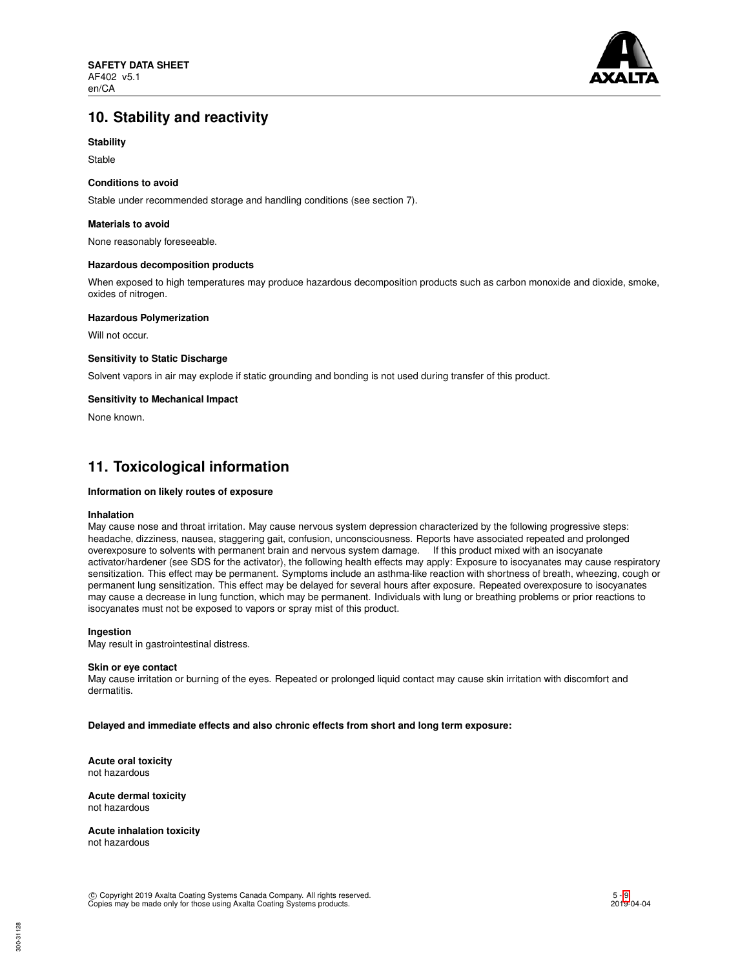

# **10. Stability and reactivity**

## **Stability**

Stable

### **Conditions to avoid**

Stable under recommended storage and handling conditions (see section 7).

### **Materials to avoid**

None reasonably foreseeable.

### **Hazardous decomposition products**

When exposed to high temperatures may produce hazardous decomposition products such as carbon monoxide and dioxide, smoke, oxides of nitrogen.

### **Hazardous Polymerization**

Will not occur.

### **Sensitivity to Static Discharge**

Solvent vapors in air may explode if static grounding and bonding is not used during transfer of this product.

### **Sensitivity to Mechanical Impact**

None known.

## **11. Toxicological information**

## **Information on likely routes of exposure**

### **Inhalation**

May cause nose and throat irritation. May cause nervous system depression characterized by the following progressive steps: headache, dizziness, nausea, staggering gait, confusion, unconsciousness. Reports have associated repeated and prolonged overexposure to solvents with permanent brain and nervous system damage. If this product mixed with an isocyanate activator/hardener (see SDS for the activator), the following health effects may apply: Exposure to isocyanates may cause respiratory sensitization. This effect may be permanent. Symptoms include an asthma-like reaction with shortness of breath, wheezing, cough or permanent lung sensitization. This effect may be delayed for several hours after exposure. Repeated overexposure to isocyanates may cause a decrease in lung function, which may be permanent. Individuals with lung or breathing problems or prior reactions to isocyanates must not be exposed to vapors or spray mist of this product.

### **Ingestion**

May result in gastrointestinal distress.

### **Skin or eye contact**

May cause irritation or burning of the eyes. Repeated or prolonged liquid contact may cause skin irritation with discomfort and dermatitis.

**Delayed and immediate effects and also chronic effects from short and long term exposure:**

**Acute oral toxicity** not hazardous

**Acute dermal toxicity** not hazardous

**Acute inhalation toxicity** not hazardous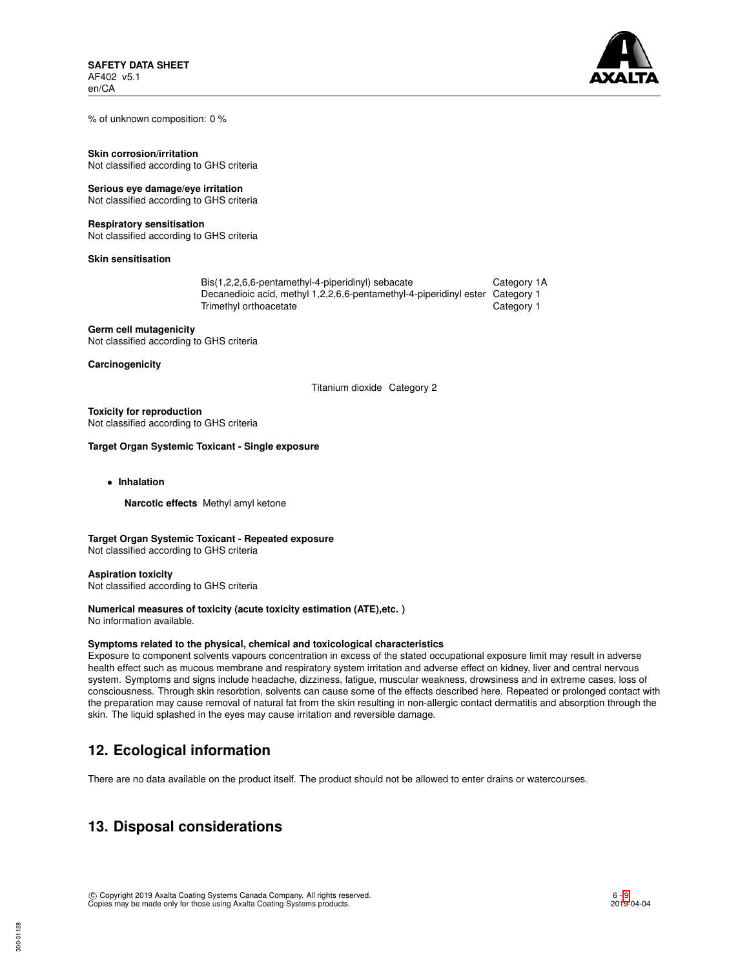

% of unknown composition: 0 %

**Skin corrosion/irritation** Not classified according to GHS criteria

## **Serious eye damage/eye irritation**

Not classified according to GHS criteria

### **Respiratory sensitisation**

Not classified according to GHS criteria

**Skin sensitisation**

| Bis(1,2,2,6,6-pentamethyl-4-piperidinyl) sebacate                             | Category 1A |
|-------------------------------------------------------------------------------|-------------|
| Decanedioic acid, methyl 1,2,2,6,6-pentamethyl-4-piperidinyl ester Category 1 |             |
| Trimethyl orthoacetate                                                        | Category 1  |

**Germ cell mutagenicity** Not classified according to GHS criteria

**Carcinogenicity**

Titanium dioxide Category 2

## **Toxicity for reproduction**

Not classified according to GHS criteria

## **Target Organ Systemic Toxicant - Single exposure**

• **Inhalation**

**Narcotic effects** Methyl amyl ketone

## **Target Organ Systemic Toxicant - Repeated exposure**

Not classified according to GHS criteria

**Aspiration toxicity** Not classified according to GHS criteria

# **Numerical measures of toxicity (acute toxicity estimation (ATE),etc. )**

No information available.

## **Symptoms related to the physical, chemical and toxicological characteristics**

Exposure to component solvents vapours concentration in excess of the stated occupational exposure limit may result in adverse health effect such as mucous membrane and respiratory system irritation and adverse effect on kidney, liver and central nervous system. Symptoms and signs include headache, dizziness, fatigue, muscular weakness, drowsiness and in extreme cases, loss of consciousness. Through skin resorbtion, solvents can cause some of the effects described here. Repeated or prolonged contact with the preparation may cause removal of natural fat from the skin resulting in non-allergic contact dermatitis and absorption through the skin. The liquid splashed in the eyes may cause irritation and reversible damage.

# **12. Ecological information**

There are no data available on the product itself. The product should not be allowed to enter drains or watercourses.

# **13. Disposal considerations**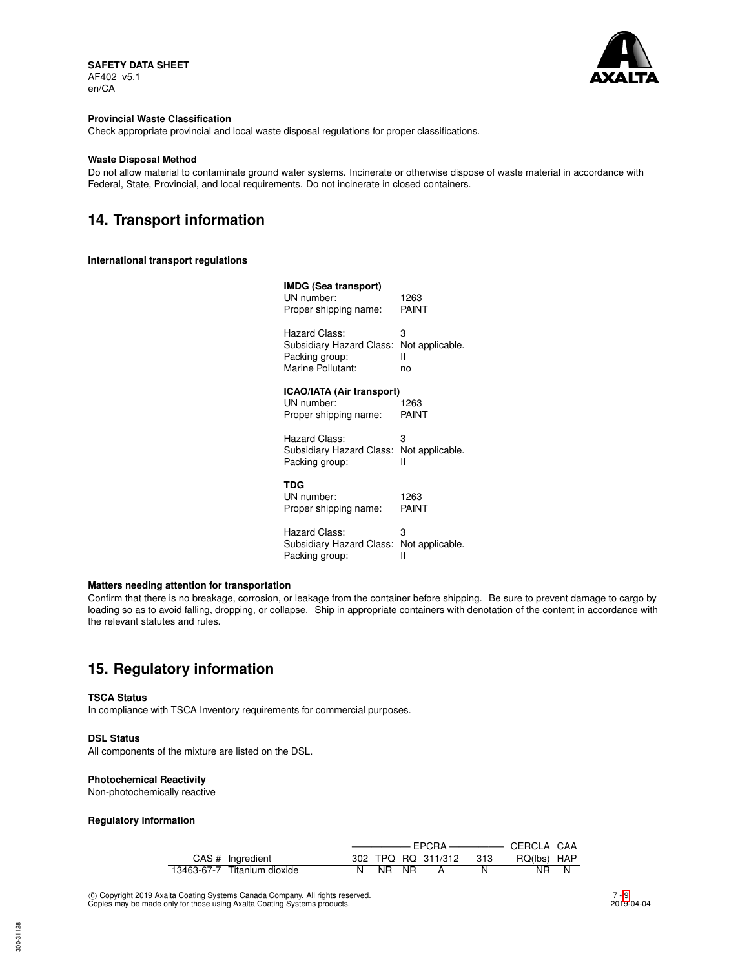

### **Provincial Waste Classification**

Check appropriate provincial and local waste disposal regulations for proper classifications.

### **Waste Disposal Method**

Do not allow material to contaminate ground water systems. Incinerate or otherwise dispose of waste material in accordance with Federal, State, Provincial, and local requirements. Do not incinerate in closed containers.

# **14. Transport information**

## **International transport regulations**

| IMDG (Sea transport)<br>UN number:<br>Proper shipping name: | 1263<br>PAINT   |
|-------------------------------------------------------------|-----------------|
| Hazard Class:                                               | 3               |
| Subsidiary Hazard Class:                                    | Not applicable. |
| Packing group:                                              | н               |
| Marine Pollutant:                                           | no              |
| ICAO/IATA (Air transport)<br>UN number:                     | 1263            |
| Proper shipping name:                                       | PAINT           |
| Hazard Class:                                               | 3               |
| Subsidiary Hazard Class:                                    | Not applicable. |
| Packing group:                                              | н               |
| TDG                                                         |                 |
| UN number:                                                  | 1263            |
| Proper shipping name:                                       | PAINT           |
| Hazard Class:                                               | 3               |
| Subsidiary Hazard Class:                                    | Not applicable. |
| Packing group:                                              | н               |

## **Matters needing attention for transportation**

Confirm that there is no breakage, corrosion, or leakage from the container before shipping. Be sure to prevent damage to cargo by loading so as to avoid falling, dropping, or collapse. Ship in appropriate containers with denotation of the content in accordance with the relevant statutes and rules.

# **15. Regulatory information**

### **TSCA Status**

In compliance with TSCA Inventory requirements for commercial purposes.

### **DSL Status**

All components of the mixture are listed on the DSL.

### **Photochemical Reactivity**

Non-photochemically reactive

### **Regulatory information**

| CAS # Ingredient            |  |         |  | 302 TPQ RQ 311/312 313 |  | RQ(lbs) HAP |  |
|-----------------------------|--|---------|--|------------------------|--|-------------|--|
| 13463-67-7 Titanium dioxide |  | N NR NR |  |                        |  | NR N        |  |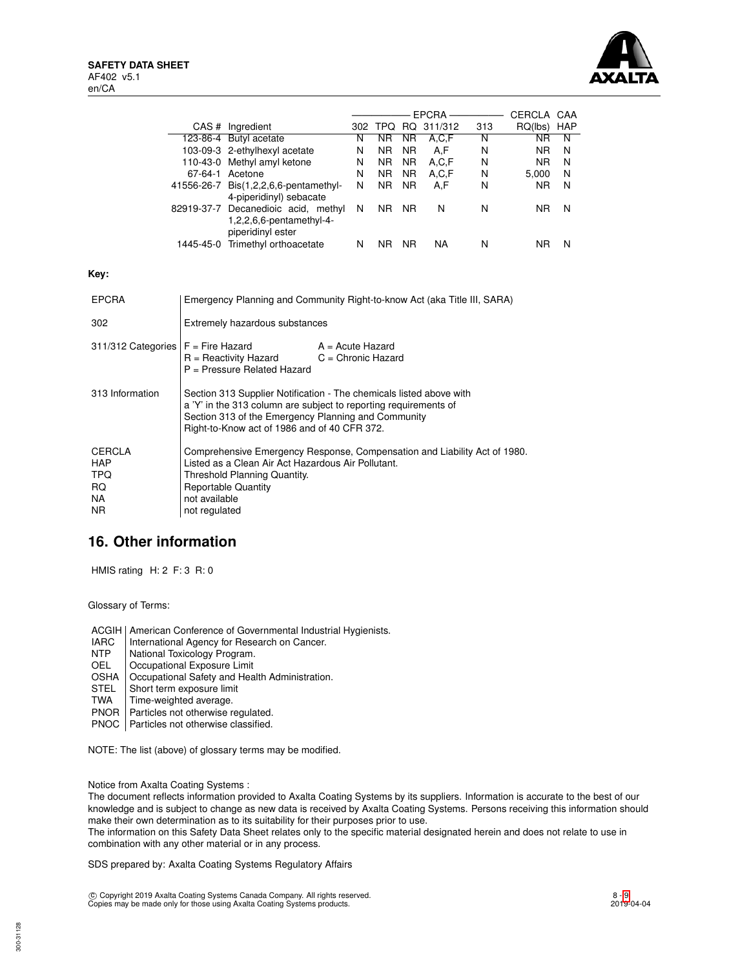

|                                                                                                                                                 |                                                                                                                                                                                                                                                |                                                                                      |   |                |                | EPCRA ————         |     | CERCLA CAA     |   |
|-------------------------------------------------------------------------------------------------------------------------------------------------|------------------------------------------------------------------------------------------------------------------------------------------------------------------------------------------------------------------------------------------------|--------------------------------------------------------------------------------------|---|----------------|----------------|--------------------|-----|----------------|---|
|                                                                                                                                                 |                                                                                                                                                                                                                                                | CAS # Ingredient                                                                     |   |                |                | 302 TPQ RQ 311/312 | 313 | RQ(lbs) HAP    |   |
|                                                                                                                                                 | 123-86-4 Butyl acetate                                                                                                                                                                                                                         |                                                                                      | N | NR.            | NR.            | A, C, F            | N   | <b>NR</b>      | N |
|                                                                                                                                                 |                                                                                                                                                                                                                                                | 103-09-3 2-ethylhexyl acetate                                                        | N | N <sub>R</sub> | N <sub>R</sub> | A,F                | N   | N <sub>R</sub> | N |
|                                                                                                                                                 |                                                                                                                                                                                                                                                | 110-43-0 Methyl amyl ketone                                                          | N | NR.            | NR.            | A.C.F              | N   | N <sub>R</sub> | N |
|                                                                                                                                                 |                                                                                                                                                                                                                                                | 67-64-1 Acetone                                                                      | N | N <sub>R</sub> | N <sub>R</sub> | A, C, F            | N   | 5,000          | N |
|                                                                                                                                                 |                                                                                                                                                                                                                                                | 41556-26-7 Bis(1,2,2,6,6-pentamethyl-<br>4-piperidinyl) sebacate                     | N | NR.            | NR.            | A,F                | N   | NR.            | N |
|                                                                                                                                                 |                                                                                                                                                                                                                                                | 82919-37-7 Decanedioic acid, methyl<br>1,2,2,6,6-pentamethyl-4-<br>piperidinyl ester | N | NR NR          |                | N                  | N   | <b>NR</b>      | N |
|                                                                                                                                                 |                                                                                                                                                                                                                                                | 1445-45-0 Trimethyl orthoacetate                                                     | N | NR NR          |                | <b>NA</b>          | N   | <b>NR</b>      | N |
| Key:                                                                                                                                            |                                                                                                                                                                                                                                                |                                                                                      |   |                |                |                    |     |                |   |
| <b>EPCRA</b>                                                                                                                                    | Emergency Planning and Community Right-to-know Act (aka Title III, SARA)                                                                                                                                                                       |                                                                                      |   |                |                |                    |     |                |   |
| 302                                                                                                                                             |                                                                                                                                                                                                                                                | Extremely hazardous substances                                                       |   |                |                |                    |     |                |   |
| 311/312 Categories<br>$F =$ Fire Hazard<br>$A = Acute$ Hazard<br>$R =$ Reactivity Hazard<br>$C =$ Chronic Hazard<br>P = Pressure Related Hazard |                                                                                                                                                                                                                                                |                                                                                      |   |                |                |                    |     |                |   |
| 313 Information                                                                                                                                 | Section 313 Supplier Notification - The chemicals listed above with<br>a 'Y' in the 313 column are subject to reporting requirements of<br>Section 313 of the Emergency Planning and Community<br>Right-to-Know act of 1986 and of 40 CFR 372. |                                                                                      |   |                |                |                    |     |                |   |
| <b>CERCLA</b><br><b>HAP</b><br><b>TPQ</b><br><b>RQ</b><br><b>NA</b><br><b>NR</b>                                                                | Comprehensive Emergency Response, Compensation and Liability Act of 1980.<br>Listed as a Clean Air Act Hazardous Air Pollutant.<br>Threshold Planning Quantity.<br><b>Reportable Quantity</b><br>not available<br>not regulated                |                                                                                      |   |                |                |                    |     |                |   |

# **16. Other information**

HMIS rating H: 2 F: 3 R: 0

Glossary of Terms:

ACGIH | American Conference of Governmental Industrial Hygienists.

- IARC | International Agency for Research on Cancer.<br>
NTP | National Toxicology Program.
- NTP National Toxicology Program.<br>OEL Cocupational Exposure Limit
- Occupational Exposure Limit
- OSHA | Occupational Safety and Health Administration.<br>STEL | Short term exposure limit
- STEL Short term exposure limit<br>TWA Time-weighted average.
- Time-weighted average.
- PNOR | Particles not otherwise regulated.
- PNOC | Particles not otherwise classified.

NOTE: The list (above) of glossary terms may be modified.

Notice from Axalta Coating Systems :

The document reflects information provided to Axalta Coating Systems by its suppliers. Information is accurate to the best of our knowledge and is subject to change as new data is received by Axalta Coating Systems. Persons receiving this information should make their own determination as to its suitability for their purposes prior to use.

The information on this Safety Data Sheet relates only to the specific material designated herein and does not relate to use in combination with any other material or in any process.

SDS prepared by: Axalta Coating Systems Regulatory Affairs